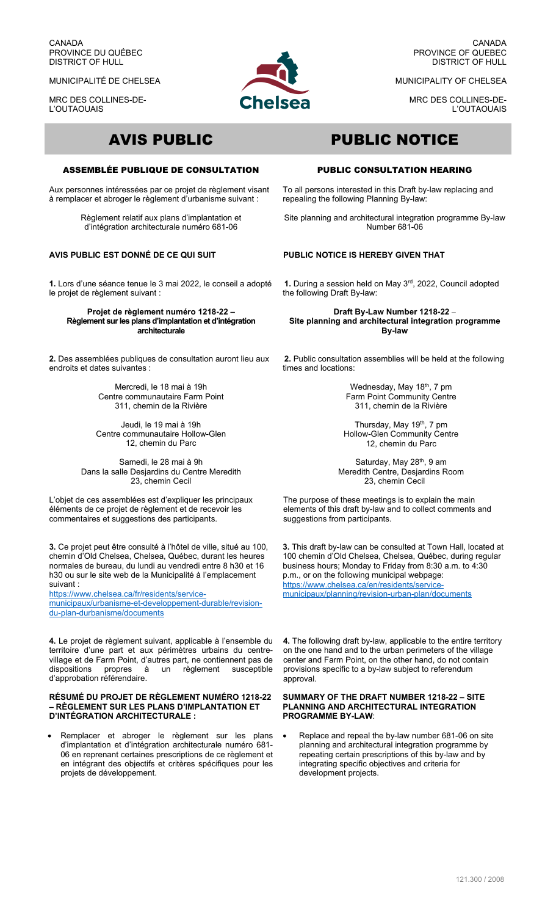CANADA PROVINCE DU QUÉBEC DISTRICT OF HULL

MUNICIPALITÉ DE CHELSEA

MRC DES COLLINES-DE-L'OUTAOUAIS



CANADA PROVINCE OF QUEBEC DISTRICT OF HULL

MUNICIPALITY OF CHELSEA

MRC DES COLLINES-DE-L'OUTAOUAIS

# ASSEMBLÉE PUBLIQUE DE CONSULTATION

Aux personnes intéressées par ce projet de règlement visant à remplacer et abroger le règlement d'urbanisme suivant :

> Règlement relatif aux plans d'implantation et d'intégration architecturale numéro 681-06

# **AVIS PUBLIC EST DONNÉ DE CE QUI SUIT**

**1.** Lors d'une séance tenue le 3 mai 2022, le conseil a adopté le projet de règlement suivant :

**Projet de règlement numéro 1218-22 – Règlement sur les plans d'implantation et d'intégration architecturale** 

**2.** Des assemblées publiques de consultation auront lieu aux endroits et dates suivantes :

> Mercredi, le 18 mai à 19h Centre communautaire Farm Point 311, chemin de la Rivière

Jeudi, le 19 mai à 19h Centre communautaire Hollow-Glen 12, chemin du Parc

Samedi, le 28 mai à 9h Dans la salle Desjardins du Centre Meredith 23, chemin Cecil

L'objet de ces assemblées est d'expliquer les principaux éléments de ce projet de règlement et de recevoir les commentaires et suggestions des participants.

**3.** Ce projet peut être consulté à l'hôtel de ville, situé au 100, chemin d'Old Chelsea, Chelsea, Québec, durant les heures normales de bureau, du lundi au vendredi entre 8 h30 et 16 h30 ou sur le site web de la Municipalité à l'emplacement suivant :

https://www.chelsea.ca/fr/residents/servicemunicipaux/urbanisme-et-developpement-durable/revision-

du-plan-durbanisme/documents

**4.** Le projet de règlement suivant, applicable à l'ensemble du territoire d'une part et aux périmètres urbains du centrevillage et de Farm Point, d'autres part, ne contiennent pas de<br>dispositions propres à un règlement susceptible un règlement susceptible d'approbation référendaire.

### **RÉSUMÉ DU PROJET DE RÈGLEMENT NUMÉRO 1218-22 – RÈGLEMENT SUR LES PLANS D'IMPLANTATION ET D'INTÉGRATION ARCHITECTURALE :**

 Remplacer et abroger le règlement sur les plans d'implantation et d'intégration architecturale numéro 681- 06 en reprenant certaines prescriptions de ce règlement et en intégrant des objectifs et critères spécifiques pour les projets de développement.

# AVIS PUBLIC PUBLIC NOTICE

## PUBLIC CONSULTATION HEARING

To all persons interested in this Draft by-law replacing and repealing the following Planning By-law:

Site planning and architectural integration programme By-law Number 681-06

# **PUBLIC NOTICE IS HEREBY GIVEN THAT**

**1.** During a session held on May 3rd, 2022, Council adopted the following Draft By-law:

**Draft By-Law Number 1218-22** – **Site planning and architectural integration programme By-law**

**2.** Public consultation assemblies will be held at the following times and locations:

> Wednesday, May 18<sup>th</sup>, 7 pm Farm Point Community Centre 311, chemin de la Rivière

Thursday, May 19<sup>th</sup>, 7 pm Hollow-Glen Community Centre 12, chemin du Parc

Saturday, May 28<sup>th</sup>, 9 am Meredith Centre, Desjardins Room 23, chemin Cecil

The purpose of these meetings is to explain the main elements of this draft by-law and to collect comments and suggestions from participants.

**3.** This draft by-law can be consulted at Town Hall, located at 100 chemin d'Old Chelsea, Chelsea, Québec, during regular business hours; Monday to Friday from 8:30 a.m. to 4:30 p.m., or on the following municipal webpage: https://www.chelsea.ca/en/residents/servicemunicipaux/planning/revision-urban-plan/documents

**4.** The following draft by-law, applicable to the entire territory on the one hand and to the urban perimeters of the village center and Farm Point, on the other hand, do not contain provisions specific to a by-law subject to referendum .<br>approval.

### **SUMMARY OF THE DRAFT NUMBER 1218-22 – SITE PLANNING AND ARCHITECTURAL INTEGRATION PROGRAMME BY-LAW**:

 Replace and repeal the by-law number 681-06 on site planning and architectural integration programme by repeating certain prescriptions of this by-law and by integrating specific objectives and criteria for development projects.